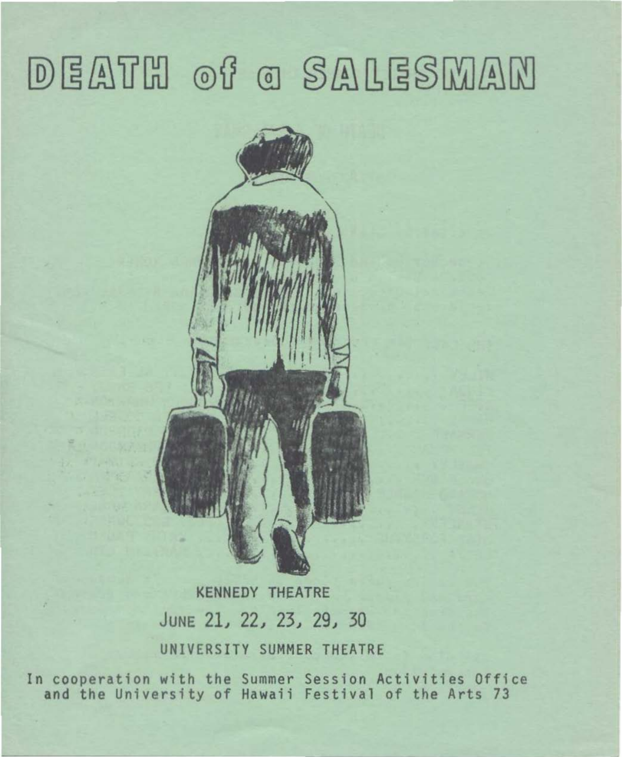# DEATH of a SALESMAN



KENNEDY THEATRE JUNE 21, 22, 23, 29, 30 UNIVERSITY SUMMER THEATRE

In cooperation with the Summer Session Activities Office and the University of Hawaii Festival of the Arts 73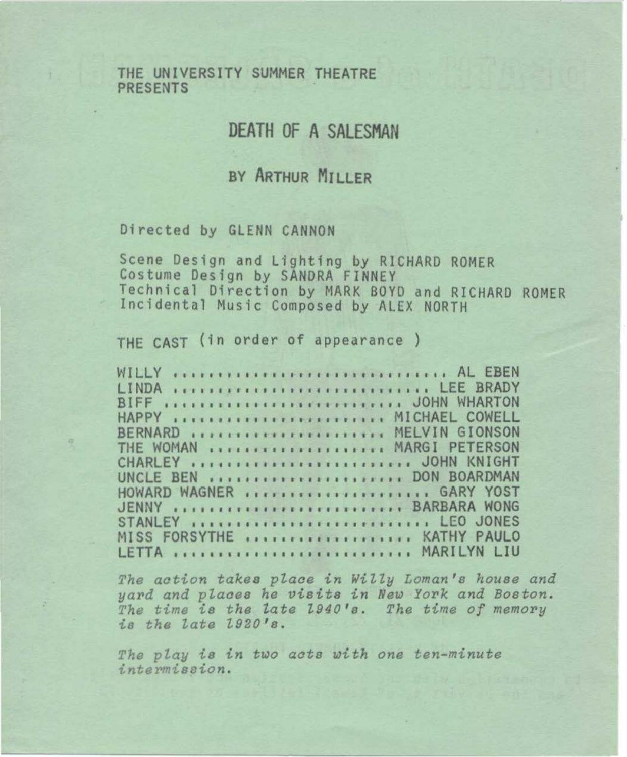THE UNIVERSITY SUMMER THEATRE **PRESENTS** 

## **DEATH OF A SALESMAN**

### BY ARTHUR MILLER

#### Directed by GLENN CANNON

Scene Design and Lighting by RICHARD ROMER Costume Design by SANDRA FINNEY Technical Direction by MARK BOYD and RICHARD ROMER Incidental Music Composed by ALEX NORTH

THE CAST (in order of appearance)

| WILLY  AL EBEN                                 |  |  |  |  |  |  |  |  |  |  |  |  |  |  |  |  |  |                                       |  |
|------------------------------------------------|--|--|--|--|--|--|--|--|--|--|--|--|--|--|--|--|--|---------------------------------------|--|
| LINDA                                          |  |  |  |  |  |  |  |  |  |  |  |  |  |  |  |  |  | TELLILLER LITTLE CONTRACTOR LEE BRADY |  |
| BIFF  JOHN WHARTON                             |  |  |  |  |  |  |  |  |  |  |  |  |  |  |  |  |  |                                       |  |
| HAPPY  MICHAEL COWELL                          |  |  |  |  |  |  |  |  |  |  |  |  |  |  |  |  |  |                                       |  |
| BERNARD  MELVIN GIONSON                        |  |  |  |  |  |  |  |  |  |  |  |  |  |  |  |  |  |                                       |  |
| THE WOMAN  MARGI PETERSON                      |  |  |  |  |  |  |  |  |  |  |  |  |  |  |  |  |  |                                       |  |
| CHARLEY  JOHN KNIGHT                           |  |  |  |  |  |  |  |  |  |  |  |  |  |  |  |  |  |                                       |  |
| UNCLE BEN  DON BOARDMAN                        |  |  |  |  |  |  |  |  |  |  |  |  |  |  |  |  |  |                                       |  |
| HOWARD WAGNER  GARY YOST                       |  |  |  |  |  |  |  |  |  |  |  |  |  |  |  |  |  |                                       |  |
| JENNY  BARBARA WONG                            |  |  |  |  |  |  |  |  |  |  |  |  |  |  |  |  |  |                                       |  |
| STANLEY ITTITITITITITITITITITITITITI LEO JONES |  |  |  |  |  |  |  |  |  |  |  |  |  |  |  |  |  |                                       |  |
| MISS FORSYTHE  KATHY PAULO                     |  |  |  |  |  |  |  |  |  |  |  |  |  |  |  |  |  |                                       |  |
| LETTA  MARILYN LIU                             |  |  |  |  |  |  |  |  |  |  |  |  |  |  |  |  |  |                                       |  |

The action takes place in Willy Loman's house and yard and places he visits in New York and Boston. The time is the late 1940's. The time of memory is the late 1920's.

The play is in two acts with one ten-minute intermission.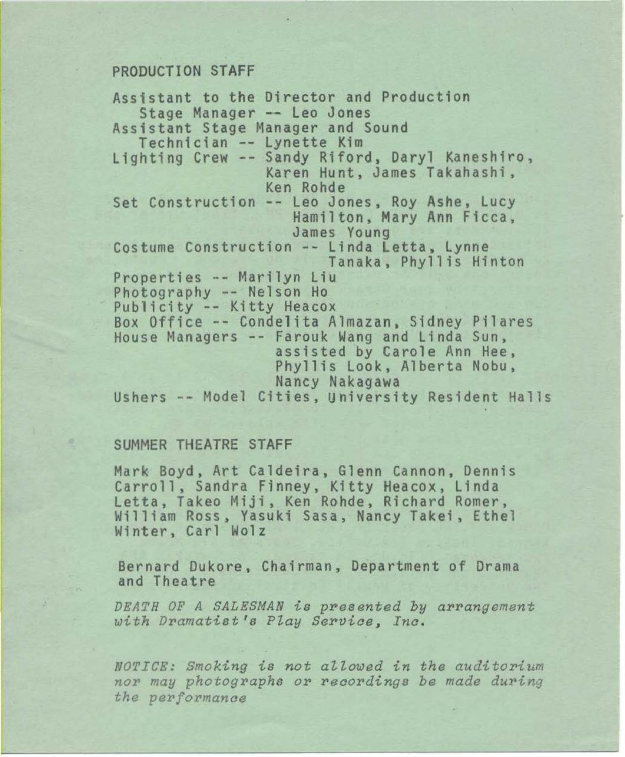#### PRODUCTION STAFF

Assistant to the Director and Production Stage Manager - Leo Jones Assistant Stage Manager and Sound Technician -- Lynette Kim Lighting Crew -- Sandy Riford, Daryl Kaneshiro, Karen Hunt, James Takahashi, Ken Rohde Set Construction -- Leo Jones, Roy Ashe, Lucy<br>Hamilton, Mary Ann Ficca,<br>James Young Costume Construction -- Linda Letta, Lynne<br>Tanaka, Phyllis Hinton Properties -- Marilyn Liu Photography -- Nelson Ho Publicity -- Kitty Heacox Box Office -- Condelita Almazan, Sidney Pilares House Managers -- Farouk Wang and Linda Sun, assisted by Carole Ann Hee, Phyllis Look, Alberta Nobu, Ushers -- Model Cities, University Resident Halls

#### SUMMER THEATRE STAFF

Mark Boyd, Art Caldeira, Glenn Cannon, Dennis Carroll, Sandra Finney, Kitty Heacox, Linda Letta, Takeo Miji, Ken Rohde, Richard Romer, William Ross, Yasuki Sasa, Nancy Takei, Ethel Winter, Carl Wolz

Bernard Dukore, Chairman, Department of Drama and Theatre

*DEATH OF A SALESMAN is pres ented by arrangement with Dramatist's Play Serviae, I na.* 

*NOTICE*: Smoking is not allowed in the auditorium *nor may photographs or r eoor dings be made du ring the performanae*